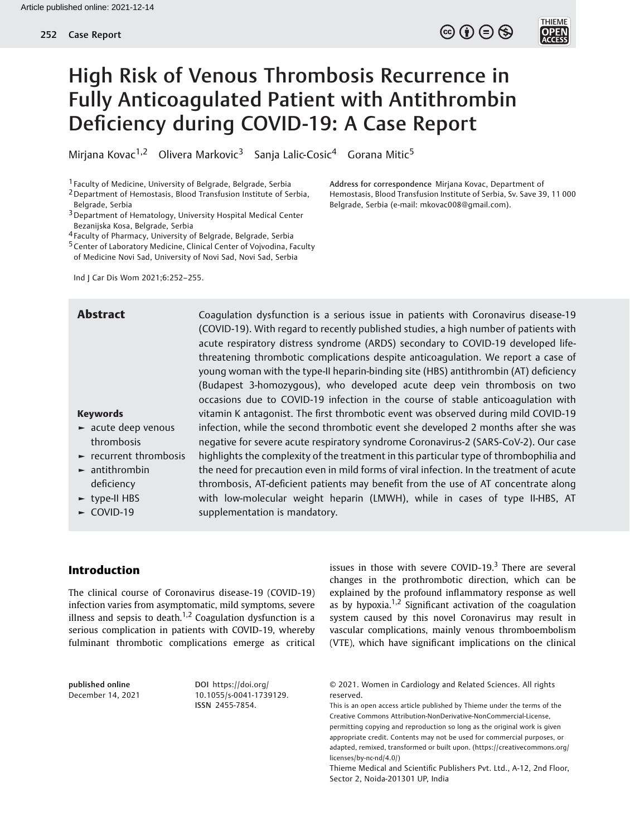# High Risk of Venous Thrombosis Recurrence in Fully Anticoagulated Patient with Antithrombin Deficiency during COVID-19: A Case Report

Mirjana Kovac<sup>1,2</sup> Olivera Markovic<sup>3</sup> Sanja Lalic-Cosic<sup>4</sup> Gorana Mitic<sup>5</sup>

1 Faculty of Medicine, University of Belgrade, Belgrade, Serbia

- 2Department of Hemostasis, Blood Transfusion Institute of Serbia, Belgrade, Serbia
- 3Department of Hematology, University Hospital Medical Center Bezanijska Kosa, Belgrade, Serbia
- 4 Faculty of Pharmacy, University of Belgrade, Belgrade, Serbia
- 5Center of Laboratory Medicine, Clinical Center of Vojvodina, Faculty of Medicine Novi Sad, University of Novi Sad, Novi Sad, Serbia

Ind J Car Dis Wom 2021;6:252–255.

#### Keywords

- ► acute deep venous thrombosis
- ► recurrent thrombosis
- ► antithrombin deficiency
- ► type-II HBS
- ► COVID-19

**Abstract** Coagulation dysfunction is a serious issue in patients with Coronavirus disease-19 (COVID-19). With regard to recently published studies, a high number of patients with acute respiratory distress syndrome (ARDS) secondary to COVID-19 developed lifethreatening thrombotic complications despite anticoagulation. We report a case of young woman with the type-II heparin-binding site (HBS) antithrombin (AT) deficiency (Budapest 3-homozygous), who developed acute deep vein thrombosis on two occasions due to COVID-19 infection in the course of stable anticoagulation with vitamin K antagonist. The first thrombotic event was observed during mild COVID-19 infection, while the second thrombotic event she developed 2 months after she was negative for severe acute respiratory syndrome Coronavirus-2 (SARS-CoV-2). Our case highlights the complexity of the treatment in this particular type of thrombophilia and the need for precaution even in mild forms of viral infection. In the treatment of acute thrombosis, AT-deficient patients may benefit from the use of AT concentrate along with low-molecular weight heparin (LMWH), while in cases of type II-HBS, AT supplementation is mandatory.

### Introduction

The clinical course of Coronavirus disease-19 (COVID-19) infection varies from asymptomatic, mild symptoms, severe illness and sepsis to death.<sup>1,2</sup> Coagulation dysfunction is a serious complication in patients with COVID-19, whereby fulminant thrombotic complications emerge as critical

published online December 14, 2021

DOI [https://doi.org/](https://doi.org/10.1055/s-0041-1739129) [10.1055/s-0041-1739129](https://doi.org/10.1055/s-0041-1739129). ISSN 2455-7854.

issues in those with severe COVID-19. $3$  There are several changes in the prothrombotic direction, which can be explained by the profound inflammatory response as well as by hypoxia.<sup>1,2</sup> Significant activation of the coagulation system caused by this novel Coronavirus may result in vascular complications, mainly venous thromboembolism (VTE), which have significant implications on the clinical

© 2021. Women in Cardiology and Related Sciences. All rights reserved.

This is an open access article published by Thieme under the terms of the Creative Commons Attribution-NonDerivative-NonCommercial-License, permitting copying and reproduction so long as the original work is given appropriate credit. Contents may not be used for commercial purposes, or adapted, remixed, transformed or built upon. (https://creativecommons.org/ licenses/by-nc-nd/4.0/)

Thieme Medical and Scientific Publishers Pvt. Ltd., A-12, 2nd Floor, Sector 2, Noida-201301 UP, India

Address for correspondence Mirjana Kovac, Department of Hemostasis, Blood Transfusion Institute of Serbia, Sv. Save 39, 11 000 Belgrade, Serbia (e-mail: [mkovac008@gmail.com\)](mailto:mkovac008@gmail.com).

 $\circledcirc$   $\oplus$   $\circledcirc$ 

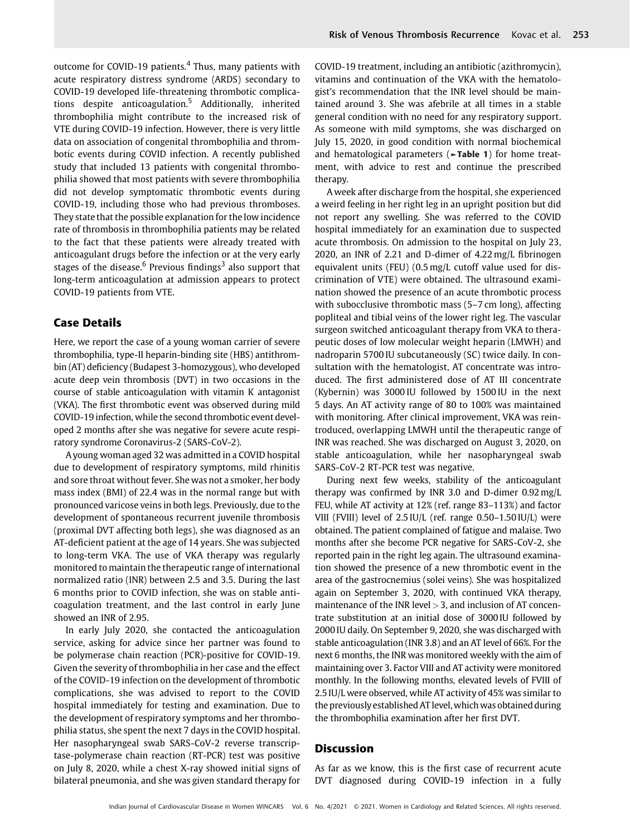outcome for COVID-19 patients.<sup>4</sup> Thus, many patients with acute respiratory distress syndrome (ARDS) secondary to COVID-19 developed life-threatening thrombotic complications despite anticoagulation.<sup>5</sup> Additionally, inherited thrombophilia might contribute to the increased risk of VTE during COVID-19 infection. However, there is very little data on association of congenital thrombophilia and thrombotic events during COVID infection. A recently published study that included 13 patients with congenital thrombophilia showed that most patients with severe thrombophilia did not develop symptomatic thrombotic events during COVID-19, including those who had previous thromboses. They state that the possible explanation for the low incidence rate of thrombosis in thrombophilia patients may be related to the fact that these patients were already treated with anticoagulant drugs before the infection or at the very early stages of the disease.<sup>6</sup> Previous findings<sup>3</sup> also support that long-term anticoagulation at admission appears to protect COVID-19 patients from VTE.

## Case Details

Here, we report the case of a young woman carrier of severe thrombophilia, type-II heparin-binding site (HBS) antithrombin (AT) deficiency (Budapest 3-homozygous), who developed acute deep vein thrombosis (DVT) in two occasions in the course of stable anticoagulation with vitamin K antagonist (VKA). The first thrombotic event was observed during mild COVID-19 infection, while the second thrombotic event developed 2 months after she was negative for severe acute respiratory syndrome Coronavirus-2 (SARS-CoV-2).

A young woman aged 32 was admitted in a COVID hospital due to development of respiratory symptoms, mild rhinitis and sore throat without fever. She was not a smoker, her body mass index (BMI) of 22.4 was in the normal range but with pronounced varicose veins in both legs. Previously, due to the development of spontaneous recurrent juvenile thrombosis (proximal DVT affecting both legs), she was diagnosed as an AT-deficient patient at the age of 14 years. She was subjected to long-term VKA. The use of VKA therapy was regularly monitored to maintain the therapeutic range of international normalized ratio (INR) between 2.5 and 3.5. During the last 6 months prior to COVID infection, she was on stable anticoagulation treatment, and the last control in early June showed an INR of 2.95.

In early July 2020, she contacted the anticoagulation service, asking for advice since her partner was found to be polymerase chain reaction (PCR)-positive for COVID-19. Given the severity of thrombophilia in her case and the effect of the COVID-19 infection on the development of thrombotic complications, she was advised to report to the COVID hospital immediately for testing and examination. Due to the development of respiratory symptoms and her thrombophilia status, she spent the next 7 days in the COVID hospital. Her nasopharyngeal swab SARS-CoV-2 reverse transcriptase-polymerase chain reaction (RT-PCR) test was positive on July 8, 2020, while a chest X-ray showed initial signs of bilateral pneumonia, and she was given standard therapy for COVID-19 treatment, including an antibiotic (azithromycin), vitamins and continuation of the VKA with the hematologist's recommendation that the INR level should be maintained around 3. She was afebrile at all times in a stable general condition with no need for any respiratory support. As someone with mild symptoms, she was discharged on July 15, 2020, in good condition with normal biochemical and hematological parameters (►Table 1) for home treatment, with advice to rest and continue the prescribed therapy.

A week after discharge from the hospital, she experienced a weird feeling in her right leg in an upright position but did not report any swelling. She was referred to the COVID hospital immediately for an examination due to suspected acute thrombosis. On admission to the hospital on July 23, 2020, an INR of 2.21 and D-dimer of 4.22 mg/L fibrinogen equivalent units (FEU) (0.5 mg/L cutoff value used for discrimination of VTE) were obtained. The ultrasound examination showed the presence of an acute thrombotic process with subocclusive thrombotic mass (5–7 cm long), affecting popliteal and tibial veins of the lower right leg. The vascular surgeon switched anticoagulant therapy from VKA to therapeutic doses of low molecular weight heparin (LMWH) and nadroparin 5700 IU subcutaneously (SC) twice daily. In consultation with the hematologist, AT concentrate was introduced. The first administered dose of AT III concentrate (Kybernin) was 3000 IU followed by 1500 IU in the next 5 days. An AT activity range of 80 to 100% was maintained with monitoring. After clinical improvement, VKA was reintroduced, overlapping LMWH until the therapeutic range of INR was reached. She was discharged on August 3, 2020, on stable anticoagulation, while her nasopharyngeal swab SARS-CoV-2 RT-PCR test was negative.

During next few weeks, stability of the anticoagulant therapy was confirmed by INR 3.0 and D-dimer 0.92 mg/L FEU, while AT activity at 12% (ref. range 83–113%) and factor VIII (FVIII) level of 2.5 IU/L (ref. range 0.50–1.50 IU/L) were obtained. The patient complained of fatigue and malaise. Two months after she become PCR negative for SARS-CoV-2, she reported pain in the right leg again. The ultrasound examination showed the presence of a new thrombotic event in the area of the gastrocnemius (solei veins). She was hospitalized again on September 3, 2020, with continued VKA therapy, maintenance of the INR level  $>$  3, and inclusion of AT concentrate substitution at an initial dose of 3000 IU followed by 2000 IU daily. On September 9, 2020, she was discharged with stable anticoagulation (INR 3.8) and an AT level of 66%. For the next 6 months, the INR was monitored weekly with the aim of maintaining over 3. Factor VIII and AT activity were monitored monthly. In the following months, elevated levels of FVIII of 2.5 IU/L were observed, while AT activity of 45% was similar to the previously established AT level, which was obtained during the thrombophilia examination after her first DVT.

### **Discussion**

As far as we know, this is the first case of recurrent acute DVT diagnosed during COVID-19 infection in a fully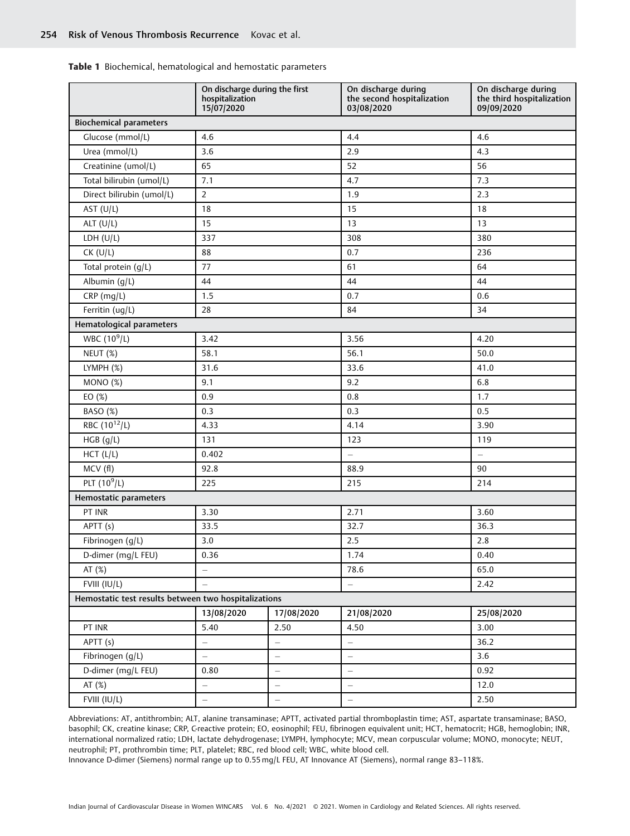Table 1 Biochemical, hematological and hemostatic parameters

|                                                      | On discharge during the first<br>hospitalization<br>15/07/2020 |                          | On discharge during<br>the second hospitalization<br>03/08/2020 | On discharge during<br>the third hospitalization<br>09/09/2020 |
|------------------------------------------------------|----------------------------------------------------------------|--------------------------|-----------------------------------------------------------------|----------------------------------------------------------------|
| <b>Biochemical parameters</b>                        |                                                                |                          |                                                                 |                                                                |
| Glucose (mmol/L)                                     | 4.6                                                            |                          | 4.4                                                             | 4.6                                                            |
| Urea (mmol/L)                                        | 3.6                                                            |                          | 2.9                                                             | 4.3                                                            |
| Creatinine (umol/L)                                  | 65                                                             |                          | 52                                                              | 56                                                             |
| Total bilirubin (umol/L)                             | 7.1                                                            |                          | 4.7                                                             | 7.3                                                            |
| Direct bilirubin (umol/L)                            | $\overline{2}$                                                 |                          | 1.9                                                             | 2.3                                                            |
| AST $(U/L)$                                          | 18                                                             |                          | 15                                                              | 18                                                             |
| ALT $(U/L)$                                          | 15                                                             |                          | 13                                                              | 13                                                             |
| LDH (U/L)                                            | 337                                                            |                          | 308                                                             | 380                                                            |
| $CK$ (U/L)                                           | 88                                                             |                          | 0.7                                                             | 236                                                            |
| Total protein (g/L)                                  | 77                                                             |                          | 61                                                              | 64                                                             |
| Albumin (g/L)                                        | 44                                                             |                          | 44                                                              | 44                                                             |
| CRP (mg/L)                                           | 1.5                                                            |                          | 0.7                                                             | 0.6                                                            |
| Ferritin (ug/L)                                      | 28                                                             |                          | 84                                                              | 34                                                             |
| Hematological parameters                             |                                                                |                          |                                                                 |                                                                |
| WBC $(10^9/L)$                                       | 3.42                                                           |                          | 3.56                                                            | 4.20                                                           |
| NEUT (%)                                             | 58.1                                                           |                          | 56.1                                                            | 50.0                                                           |
| LYMPH (%)                                            | 31.6                                                           |                          | 33.6                                                            | 41.0                                                           |
| MONO (%)                                             | 9.1                                                            |                          | 9.2                                                             | 6.8                                                            |
| EO (%)                                               | 0.9                                                            |                          | 0.8                                                             | 1.7                                                            |
| BASO (%)                                             | 0.3                                                            |                          | 0.3                                                             | 0.5                                                            |
| RBC (10 <sup>12</sup> /L)                            | 4.33                                                           |                          | 4.14                                                            | 3.90                                                           |
| HGB(g/L)                                             | 131                                                            |                          | 123                                                             | 119                                                            |
| HCT (L/L)                                            | 0.402                                                          |                          | $\equiv$                                                        | $\equiv$                                                       |
| MCV (fl)                                             | 92.8                                                           |                          | 88.9                                                            | 90                                                             |
| PLT $(10^9/L)$                                       | 225                                                            |                          | 215                                                             | 214                                                            |
| Hemostatic parameters                                |                                                                |                          |                                                                 |                                                                |
| PT INR                                               | 3.30                                                           |                          | 2.71                                                            | 3.60                                                           |
| APTT (s)                                             | 33.5                                                           |                          | 32.7                                                            | 36.3                                                           |
| Fibrinogen (g/L)                                     | 3.0                                                            |                          | 2.5                                                             | 2.8                                                            |
| D-dimer (mg/L FEU)                                   | 0.36                                                           |                          | 1.74                                                            | 0.40                                                           |
| AT (%)                                               | $\qquad \qquad -$                                              |                          | 78.6                                                            | 65.0                                                           |
| FVIII (IU/L)                                         | $\equiv$                                                       |                          | $\overline{\phantom{0}}$                                        | 2.42                                                           |
| Hemostatic test results between two hospitalizations |                                                                |                          |                                                                 |                                                                |
|                                                      | 13/08/2020                                                     | 17/08/2020               | 21/08/2020                                                      | 25/08/2020                                                     |
| PT INR                                               | 5.40                                                           | 2.50                     | 4.50                                                            | 3.00                                                           |
| APTT (s)                                             | $\equiv$                                                       | $\overline{a}$           | $\equiv$                                                        | 36.2                                                           |
| Fibrinogen (g/L)                                     | $\equiv$                                                       | $\overline{\phantom{0}}$ | $\overline{\phantom{m}}$                                        | 3.6                                                            |
| D-dimer (mg/L FEU)                                   | 0.80                                                           | $\overline{\phantom{0}}$ | $\overline{\phantom{0}}$                                        | 0.92                                                           |
| AT (%)                                               | $\overline{\phantom{0}}$                                       | $\overline{\phantom{0}}$ | $\overline{\phantom{0}}$                                        | 12.0                                                           |
| FVIII (IU/L)                                         | $\frac{1}{\sqrt{2}}$                                           | -                        | $\overline{\phantom{0}}$                                        | 2.50                                                           |

Abbreviations: AT, antithrombin; ALT, alanine transaminase; APTT, activated partial thromboplastin time; AST, aspartate transaminase; BASO, basophil; CK, creatine kinase; CRP, C-reactive protein; EO, eosinophil; FEU, fibrinogen equivalent unit; HCT, hematocrit; HGB, hemoglobin; INR, international normalized ratio; LDH, lactate dehydrogenase; LYMPH, lymphocyte; MCV, mean corpuscular volume; MONO, monocyte; NEUT, neutrophil; PT, prothrombin time; PLT, platelet; RBC, red blood cell; WBC, white blood cell.

Innovance D-dimer (Siemens) normal range up to 0.55 mg/L FEU, AT Innovance AT (Siemens), normal range 83–118%.